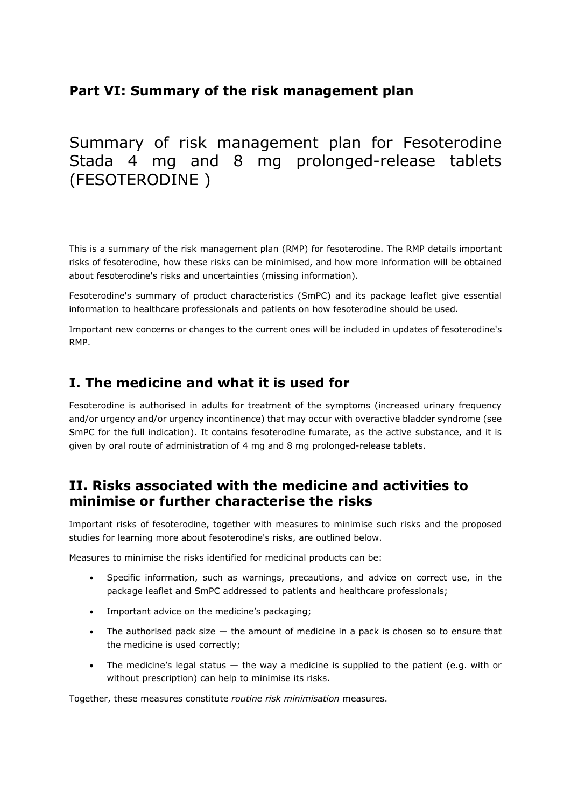# **Part VI: Summary of the risk management plan**

# Summary of risk management plan for Fesoterodine Stada 4 mg and 8 mg prolonged-release tablets (FESOTERODINE )

This is a summary of the risk management plan (RMP) for fesoterodine. The RMP details important risks of fesoterodine, how these risks can be minimised, and how more information will be obtained about fesoterodine's risks and uncertainties (missing information).

Fesoterodine's summary of product characteristics (SmPC) and its package leaflet give essential information to healthcare professionals and patients on how fesoterodine should be used.

Important new concerns or changes to the current ones will be included in updates of fesoterodine's RMP.

# **I. The medicine and what it is used for**

Fesoterodine is authorised in adults for treatment of the symptoms (increased urinary frequency and/or urgency and/or urgency incontinence) that may occur with overactive bladder syndrome (see SmPC for the full indication). It contains fesoterodine fumarate, as the active substance, and it is given by oral route of administration of 4 mg and 8 mg prolonged-release tablets.

# **II. Risks associated with the medicine and activities to minimise or further characterise the risks**

Important risks of fesoterodine, together with measures to minimise such risks and the proposed studies for learning more about fesoterodine's risks, are outlined below.

Measures to minimise the risks identified for medicinal products can be:

- Specific information, such as warnings, precautions, and advice on correct use, in the package leaflet and SmPC addressed to patients and healthcare professionals;
- Important advice on the medicine's packaging;
- The authorised pack size  $-$  the amount of medicine in a pack is chosen so to ensure that the medicine is used correctly;
- The medicine's legal status  $-$  the way a medicine is supplied to the patient (e.g. with or without prescription) can help to minimise its risks.

Together, these measures constitute *routine risk minimisation* measures.